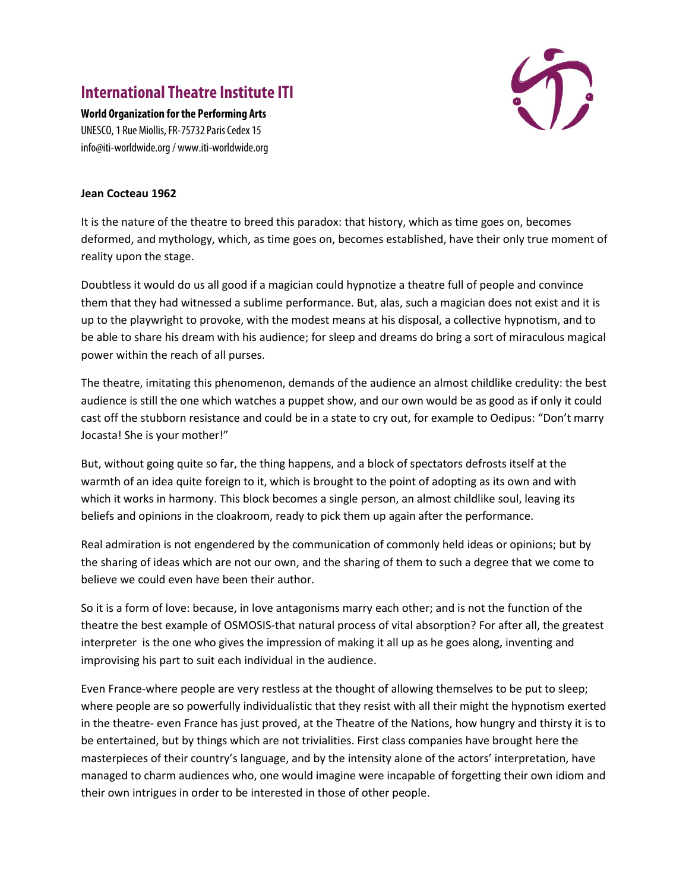## **International Theatre Institute ITI**



**World Organization for the Performing Arts** UNESCO, 1 Rue Miollis, FR-75732 Paris Cedex 15 info@iti-worldwide.org / www.iti-worldwide.org

## **Jean Cocteau 1962**

It is the nature of the theatre to breed this paradox: that history, which as time goes on, becomes deformed, and mythology, which, as time goes on, becomes established, have their only true moment of reality upon the stage.

Doubtless it would do us all good if a magician could hypnotize a theatre full of people and convince them that they had witnessed a sublime performance. But, alas, such a magician does not exist and it is up to the playwright to provoke, with the modest means at his disposal, a collective hypnotism, and to be able to share his dream with his audience; for sleep and dreams do bring a sort of miraculous magical power within the reach of all purses.

The theatre, imitating this phenomenon, demands of the audience an almost childlike credulity: the best audience is still the one which watches a puppet show, and our own would be as good as if only it could cast off the stubborn resistance and could be in a state to cry out, for example to Oedipus: "Don't marry Jocasta! She is your mother!"

But, without going quite so far, the thing happens, and a block of spectators defrosts itself at the warmth of an idea quite foreign to it, which is brought to the point of adopting as its own and with which it works in harmony. This block becomes a single person, an almost childlike soul, leaving its beliefs and opinions in the cloakroom, ready to pick them up again after the performance.

Real admiration is not engendered by the communication of commonly held ideas or opinions; but by the sharing of ideas which are not our own, and the sharing of them to such a degree that we come to believe we could even have been their author.

So it is a form of love: because, in love antagonisms marry each other; and is not the function of the theatre the best example of OSMOSIS-that natural process of vital absorption? For after all, the greatest interpreter is the one who gives the impression of making it all up as he goes along, inventing and improvising his part to suit each individual in the audience.

Even France-where people are very restless at the thought of allowing themselves to be put to sleep; where people are so powerfully individualistic that they resist with all their might the hypnotism exerted in the theatre- even France has just proved, at the Theatre of the Nations, how hungry and thirsty it is to be entertained, but by things which are not trivialities. First class companies have brought here the masterpieces of their country's language, and by the intensity alone of the actors' interpretation, have managed to charm audiences who, one would imagine were incapable of forgetting their own idiom and their own intrigues in order to be interested in those of other people.